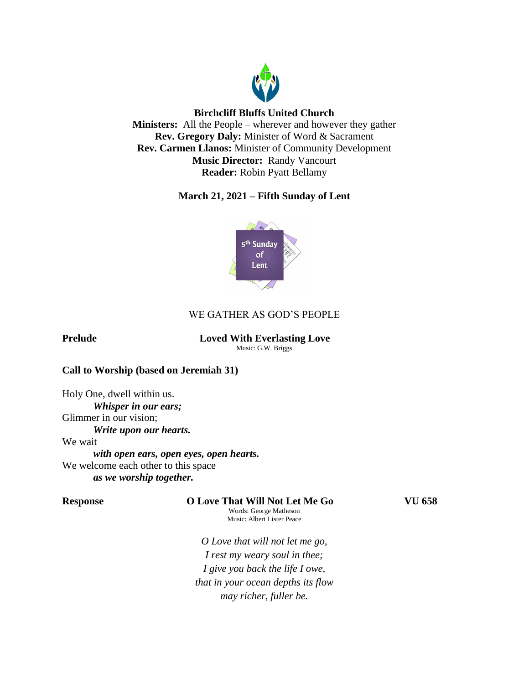

# **Birchcliff Bluffs United Church**

**Ministers:** All the People – wherever and however they gather **Rev. Gregory Daly:** Minister of Word & Sacrament **Rev. Carmen Llanos:** Minister of Community Development **Music Director:** Randy Vancourt **Reader:** Robin Pyatt Bellamy

# **March 21, 2021 – Fifth Sunday of Lent**



# WE GATHER AS GOD'S PEOPLE

# **Prelude Loved With Everlasting Love**

Music: G.W. Briggs

# **Call to Worship (based on Jeremiah 31)**

Holy One, dwell within us. *Whisper in our ears;* Glimmer in our vision; *Write upon our hearts.* We wait *with open ears, open eyes, open hearts.* We welcome each other to this space *as we worship together.*

**Response O Love That Will Not Let Me Go VU 658**

Words: George Matheson Music: Albert Lister Peace

*O Love that will not let me go, I rest my weary soul in thee; I give you back the life I owe, that in your ocean depths its flow may richer, fuller be.*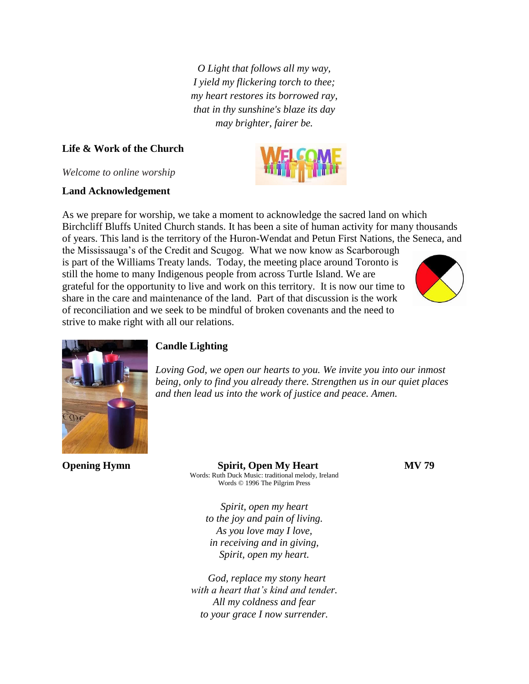*O Light that follows all my way, I yield my flickering torch to thee; my heart restores its borrowed ray, that in thy sunshine's blaze its day may brighter, fairer be.*

# **Life & Work of the Church**

*Welcome to online worship*

# **Land Acknowledgement**

As we prepare for worship, we take a moment to acknowledge the sacred land on which Birchcliff Bluffs United Church stands. It has been a site of human activity for many thousands of years. This land is the territory of the Huron-Wendat and Petun First Nations, the Seneca, and

the Mississauga's of the Credit and Scugog. What we now know as Scarborough is part of the Williams Treaty lands. Today, the meeting place around Toronto is still the home to many Indigenous people from across Turtle Island. We are grateful for the opportunity to live and work on this territory. It is now our time to share in the care and maintenance of the land. Part of that discussion is the work of reconciliation and we seek to be mindful of broken covenants and the need to strive to make right with all our relations.





# **Candle Lighting**

*Loving God, we open our hearts to you. We invite you into our inmost being, only to find you already there. Strengthen us in our quiet places and then lead us into the work of justice and peace. Amen.*

**Opening Hymn** Spirit, Open My Heart MV 79 Words: Ruth Duck Music: traditional melody, Ireland Words © 1996 The Pilgrim Press

*Spirit, open my heart to the joy and pain of living. As you love may I love, in receiving and in giving, Spirit, open my heart.*

 *God, replace my stony heart with a heart that's kind and tender. All my coldness and fear to your grace I now surrender.*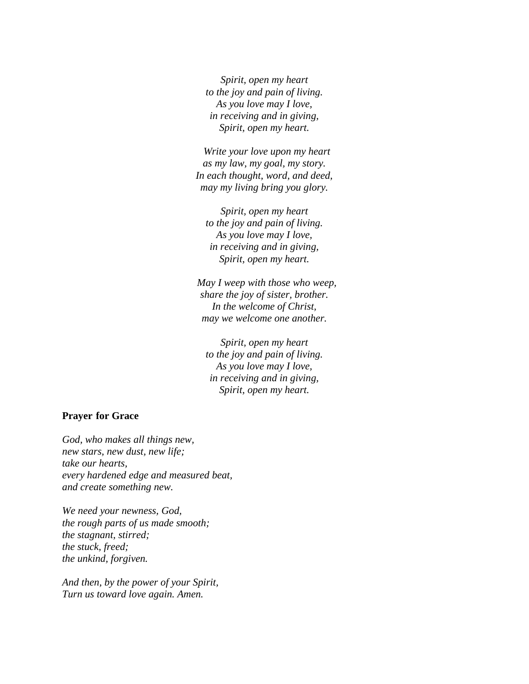*Spirit, open my heart to the joy and pain of living. As you love may I love, in receiving and in giving, Spirit, open my heart.*

 *Write your love upon my heart as my law, my goal, my story. In each thought, word, and deed, may my living bring you glory.*

*Spirit, open my heart to the joy and pain of living. As you love may I love, in receiving and in giving, Spirit, open my heart.*

 *May I weep with those who weep, share the joy of sister, brother. In the welcome of Christ, may we welcome one another.*

*Spirit, open my heart to the joy and pain of living. As you love may I love, in receiving and in giving, Spirit, open my heart.*

## **Prayer for Grace**

*God, who makes all things new, new stars, new dust, new life; take our hearts, every hardened edge and measured beat, and create something new.*

*We need your newness, God, the rough parts of us made smooth; the stagnant, stirred; the stuck, freed; the unkind, forgiven.*

*And then, by the power of your Spirit, Turn us toward love again. Amen.*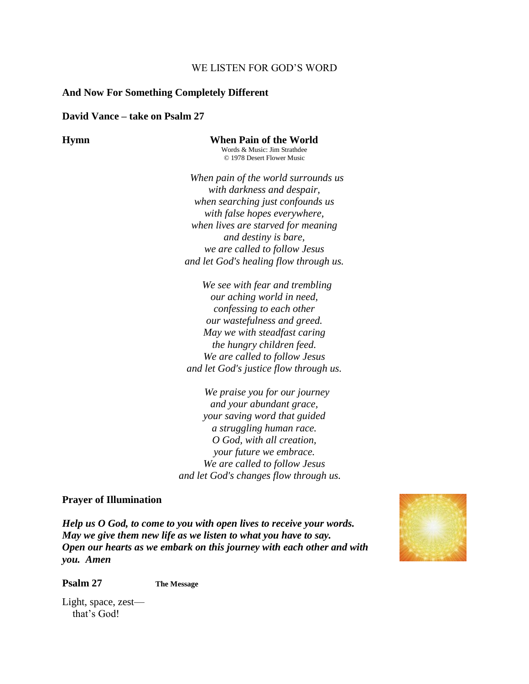## WE LISTEN FOR GOD'S WORD

### **And Now For Something Completely Different**

#### **David Vance – take on Psalm 27**

**Hymn When Pain of the World** Words & Music: Jim Strathdee © 1978 Desert Flower Music

> *When pain of the world surrounds us with darkness and despair, when searching just confounds us with false hopes everywhere, when lives are starved for meaning and destiny is bare, we are called to follow Jesus and let God's healing flow through us.*

 *We see with fear and trembling our aching world in need, confessing to each other our wastefulness and greed. May we with steadfast caring the hungry children feed. We are called to follow Jesus and let God's justice flow through us.*

 *We praise you for our journey and your abundant grace, your saving word that guided a struggling human race. O God, with all creation, your future we embrace. We are called to follow Jesus and let God's changes flow through us.*

#### **Prayer of Illumination**

*Help us O God, to come to you with open lives to receive your words. May we give them new life as we listen to what you have to say. Open our hearts as we embark on this journey with each other and with you. Amen*



**Psalm 27 The Message**

Light, space, zest that's God!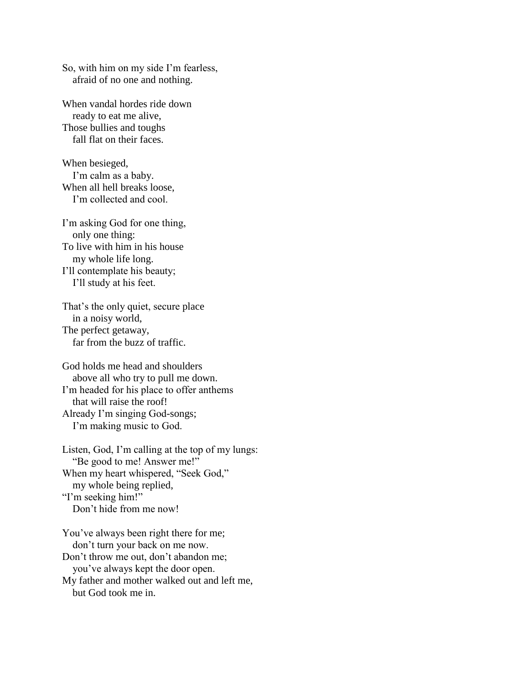So, with him on my side I'm fearless, afraid of no one and nothing.

When vandal hordes ride down ready to eat me alive, Those bullies and toughs fall flat on their faces.

When besieged, I'm calm as a baby. When all hell breaks loose, I'm collected and cool.

I'm asking God for one thing, only one thing: To live with him in his house my whole life long. I'll contemplate his beauty; I'll study at his feet.

That's the only quiet, secure place in a noisy world, The perfect getaway, far from the buzz of traffic.

God holds me head and shoulders above all who try to pull me down. I'm headed for his place to offer anthems that will raise the roof! Already I'm singing God-songs; I'm making music to God.

Listen, God, I'm calling at the top of my lungs: "Be good to me! Answer me!" When my heart whispered, "Seek God," my whole being replied, "I'm seeking him!" Don't hide from me now!

You've always been right there for me; don't turn your back on me now. Don't throw me out, don't abandon me; you've always kept the door open. My father and mother walked out and left me,

but God took me in.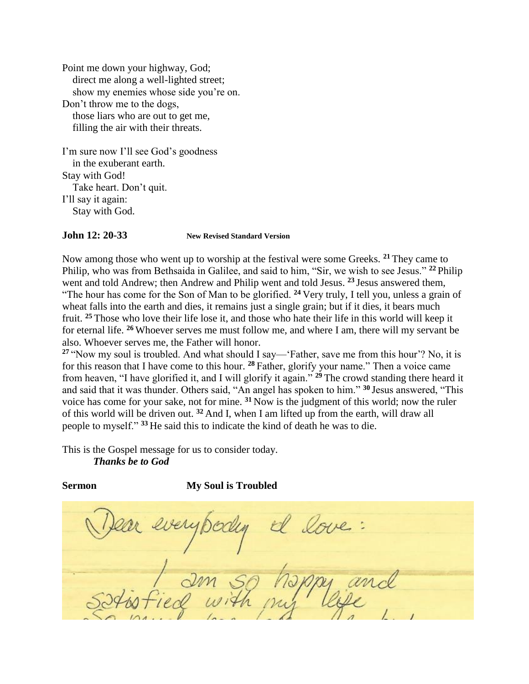Point me down your highway, God; direct me along a well-lighted street; show my enemies whose side you're on. Don't throw me to the dogs, those liars who are out to get me, filling the air with their threats.

I'm sure now I'll see God's goodness in the exuberant earth. Stay with God! Take heart. Don't quit. I'll say it again: Stay with God.

## **John 12: 20-33 New Revised Standard Version**

Now among those who went up to worship at the festival were some Greeks. **<sup>21</sup>** They came to Philip, who was from Bethsaida in Galilee, and said to him, "Sir, we wish to see Jesus." **<sup>22</sup>** Philip went and told Andrew; then Andrew and Philip went and told Jesus. **<sup>23</sup>** Jesus answered them, "The hour has come for the Son of Man to be glorified. **<sup>24</sup>** Very truly, I tell you, unless a grain of wheat falls into the earth and dies, it remains just a single grain; but if it dies, it bears much fruit. **<sup>25</sup>** Those who love their life lose it, and those who hate their life in this world will keep it for eternal life. **<sup>26</sup>** Whoever serves me must follow me, and where I am, there will my servant be also. Whoever serves me, the Father will honor.

**<sup>27</sup>** "Now my soul is troubled. And what should I say—'Father, save me from this hour'? No, it is for this reason that I have come to this hour. **<sup>28</sup>** Father, glorify your name." Then a voice came from heaven, "I have glorified it, and I will glorify it again." **<sup>29</sup>** The crowd standing there heard it and said that it was thunder. Others said, "An angel has spoken to him." **<sup>30</sup>** Jesus answered, "This voice has come for your sake, not for mine. **<sup>31</sup>** Now is the judgment of this world; now the ruler of this world will be driven out. **<sup>32</sup>** And I, when I am lifted up from the earth, will draw all people to myself." **<sup>33</sup>** He said this to indicate the kind of death he was to die.

This is the Gospel message for us to consider today. *Thanks be to God*

### **Sermon My Soul is Troubled**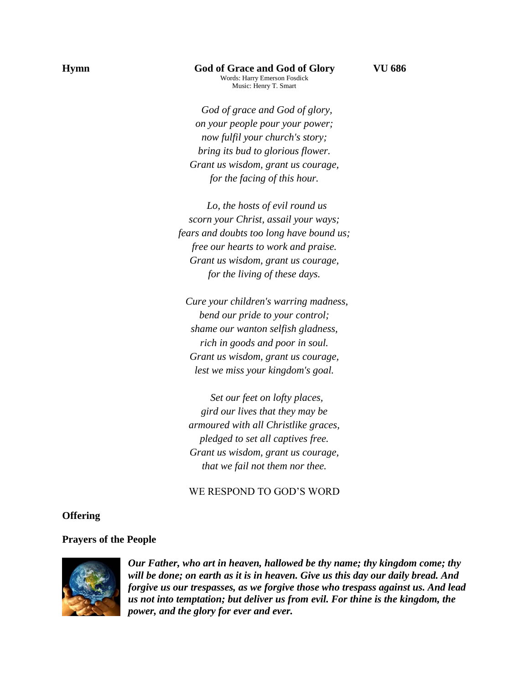#### **Hymn God of Grace and God of Glory VU 686** Words: Harry Emerson Fosdick Music: Henry T. Smart

 *God of grace and God of glory, on your people pour your power; now fulfil your church's story; bring its bud to glorious flower. Grant us wisdom, grant us courage, for the facing of this hour.*

 *Lo, the hosts of evil round us scorn your Christ, assail your ways; fears and doubts too long have bound us; free our hearts to work and praise. Grant us wisdom, grant us courage, for the living of these days.*

 *Cure your children's warring madness, bend our pride to your control; shame our wanton selfish gladness, rich in goods and poor in soul. Grant us wisdom, grant us courage, lest we miss your kingdom's goal.*

 *Set our feet on lofty places, gird our lives that they may be armoured with all Christlike graces, pledged to set all captives free. Grant us wisdom, grant us courage, that we fail not them nor thee.*

# WE RESPOND TO GOD'S WORD

### **Offering**

#### **Prayers of the People**



*Our Father, who art in heaven, hallowed be thy name; thy kingdom come; thy will be done; on earth as it is in heaven. Give us this day our daily bread. And forgive us our trespasses, as we forgive those who trespass against us. And lead us not into temptation; but deliver us from evil. For thine is the kingdom, the power, and the glory for ever and ever.*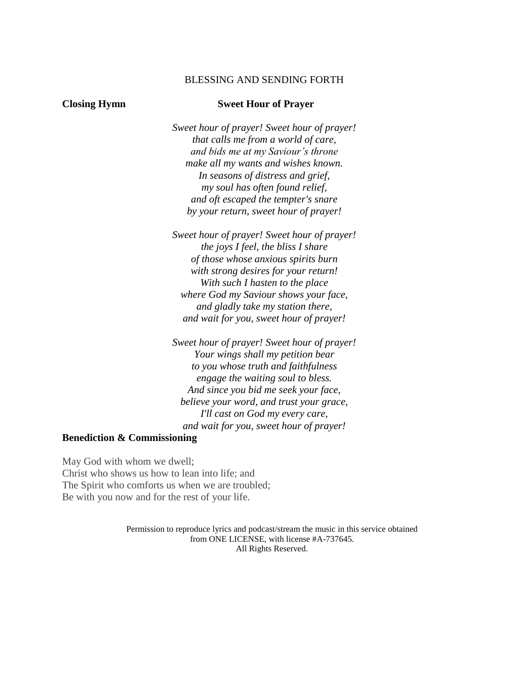### BLESSING AND SENDING FORTH

### **Closing Hymn Sweet Hour of Prayer**

*Sweet hour of prayer! Sweet hour of prayer! that calls me from a world of care, and bids me at my Saviour's throne make all my wants and wishes known. In seasons of distress and grief, my soul has often found relief, and oft escaped the tempter's snare by your return, sweet hour of prayer!*

*Sweet hour of prayer! Sweet hour of prayer! the joys I feel, the bliss I share of those whose anxious spirits burn with strong desires for your return! With such I hasten to the place where God my Saviour shows your face, and gladly take my station there, and wait for you, sweet hour of prayer!*

*Sweet hour of prayer! Sweet hour of prayer! Your wings shall my petition bear to you whose truth and faithfulness engage the waiting soul to bless. And since you bid me seek your face, believe your word, and trust your grace, I'll cast on God my every care, and wait for you, sweet hour of prayer!*

### **Benediction & Commissioning**

May God with whom we dwell; Christ who shows us how to lean into life; and The Spirit who comforts us when we are troubled; Be with you now and for the rest of your life.

> Permission to reproduce lyrics and podcast/stream the music in this service obtained from ONE LICENSE, with license #A-737645. All Rights Reserved.